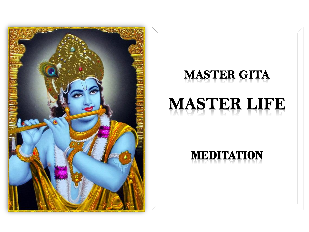

# **MASTER GITA**

# **MASTER LIFE**

# **MEDITATION**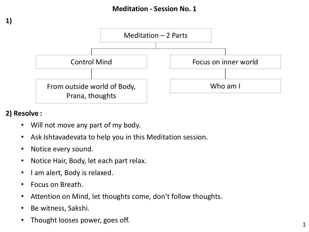

#### **2) Resolve :**

**1)**

- Will not move any part of my body.
- Ask Ishtavadevata to help you in this Meditation session.
- Notice every sound.
- Notice Hair, Body, let each part relax.
- I am alert, Body is relaxed.
- Focus on Breath.
- Attention on Mind, let thoughts come, don't follow thoughts.
- Be witness, Sakshi.
- Thought looses power, goes off.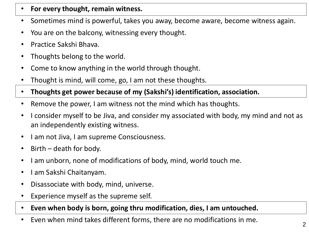- **For every thought, remain witness.**
- Sometimes mind is powerful, takes you away, become aware, become witness again.
- You are on the balcony, witnessing every thought.
- Practice Sakshi Bhava.
- Thoughts belong to the world.
- Come to know anything in the world through thought.
- Thought is mind, will come, go, I am not these thoughts.
- **Thoughts get power because of my (Sakshi's) identification, association.**
- Remove the power, I am witness not the mind which has thoughts.
- I consider myself to be Jiva, and consider my associated with body, my mind and not as an independently existing witness.
- I am not Jiva, I am supreme Consciousness.
- Birth death for body.
- I am unborn, none of modifications of body, mind, world touch me.
- I am Sakshi Chaitanyam.
- Disassociate with body, mind, universe.
- Experience myself as the supreme self.
- **Even when body is born, going thru modification, dies, I am untouched.**
- Even when mind takes different forms, there are no modifications in me.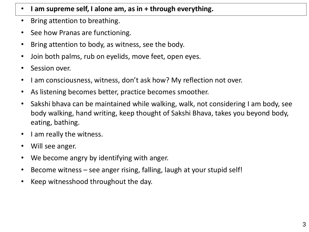- **I am supreme self, I alone am, as in + through everything.**
- Bring attention to breathing.
- See how Pranas are functioning.
- Bring attention to body, as witness, see the body.
- Join both palms, rub on eyelids, move feet, open eyes.
- Session over.
- I am consciousness, witness, don't ask how? My reflection not over.
- As listening becomes better, practice becomes smoother.
- Sakshi bhava can be maintained while walking, walk, not considering I am body, see body walking, hand writing, keep thought of Sakshi Bhava, takes you beyond body, eating, bathing.
- I am really the witness.
- Will see anger.
- We become angry by identifying with anger.
- Become witness see anger rising, falling, laugh at your stupid self!
- Keep witnesshood throughout the day.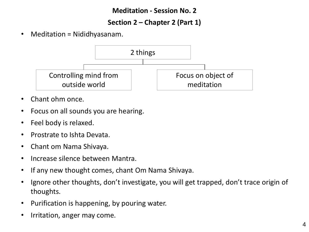#### **Meditation - Session No. 2**

#### **Section 2 – Chapter 2 (Part 1)**

• Meditation = Nididhyasanam.



- Chant ohm once.
- Focus on all sounds you are hearing.
- Feel body is relaxed.
- Prostrate to Ishta Devata.
- Chant om Nama Shivaya.
- Increase silence between Mantra.
- If any new thought comes, chant Om Nama Shivaya.
- Ignore other thoughts, don't investigate, you will get trapped, don't trace origin of thoughts.
- Purification is happening, by pouring water.
- Irritation, anger may come.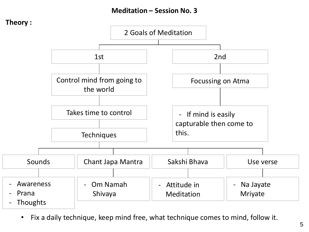#### **Meditation – Session No. 3**



• Fix a daily technique, keep mind free, what technique comes to mind, follow it.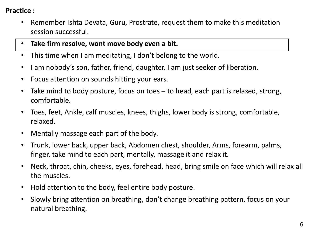#### **Practice :**

- Remember Ishta Devata, Guru, Prostrate, request them to make this meditation session successful.
- **Take firm resolve, wont move body even a bit.**
- This time when I am meditating, I don't belong to the world.
- I am nobody's son, father, friend, daughter, I am just seeker of liberation.
- Focus attention on sounds hitting your ears.
- Take mind to body posture, focus on toes to head, each part is relaxed, strong, comfortable.
- Toes, feet, Ankle, calf muscles, knees, thighs, lower body is strong, comfortable, relaxed.
- Mentally massage each part of the body.
- Trunk, lower back, upper back, Abdomen chest, shoulder, Arms, forearm, palms, finger, take mind to each part, mentally, massage it and relax it.
- Neck, throat, chin, cheeks, eyes, forehead, head, bring smile on face which will relax all the muscles.
- Hold attention to the body, feel entire body posture.
- Slowly bring attention on breathing, don't change breathing pattern, focus on your natural breathing.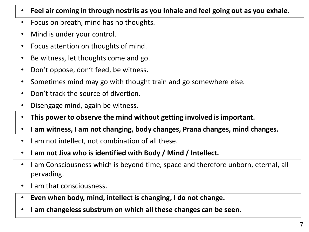- **Feel air coming in through nostrils as you Inhale and feel going out as you exhale.**
- Focus on breath, mind has no thoughts.
- Mind is under your control.
- Focus attention on thoughts of mind.
- Be witness, let thoughts come and go.
- Don't oppose, don't feed, be witness.
- Sometimes mind may go with thought train and go somewhere else.
- Don't track the source of divertion.
- Disengage mind, again be witness.
- **This power to observe the mind without getting involved is important.**
- **I am witness, I am not changing, body changes, Prana changes, mind changes.**
- I am not intellect, not combination of all these.
- **I am not Jiva who is identified with Body / Mind / Intellect.**
- I am Consciousness which is beyond time, space and therefore unborn, eternal, all pervading.
- I am that consciousness.
- **Even when body, mind, intellect is changing, I do not change.**
- **I am changeless substrum on which all these changes can be seen.**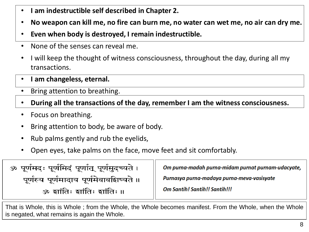- **I am indestructible self described in Chapter 2.**
- **No weapon can kill me, no fire can burn me, no water can wet me, no air can dry me.**
- **Even when body is destroyed, I remain indestructible.**
- None of the senses can reveal me.
- I will keep the thought of witness consciousness, throughout the day, during all my transactions.
- **I am changeless, eternal.**
- Bring attention to breathing.
- **During all the transactions of the day, remember I am the witness consciousness.**
- Focus on breathing.
- Bring attention to body, be aware of body.
- Rub palms gently and rub the eyelids,
- Open eyes, take palms on the face, move feet and sit comfortably.

| ॐ पूर्णमदः पूर्णमिदं पूर्णात् पूर्णमुदच्यते । | Om purna-madah purna-midam purnat purnam-udacyate, |
|-----------------------------------------------|----------------------------------------------------|
| पूर्णस्य पूर्णमादाय पूर्णमेवावशिष्यते ॥       | Purnasya purna-madaya purna-meva-vasisyate         |
| ॐ इांतिः इांतिः इांतिः ॥                      | <b>Om Santih! Santih!! Santih!!!</b>               |

That is Whole, this is Whole ; from the Whole, the Whole becomes manifest. From the Whole, when the Whole is negated, what remains is again the Whole.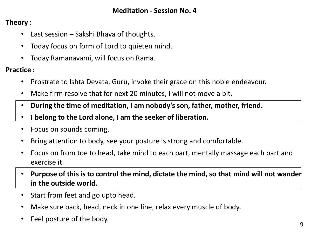#### **Meditation - Session No. 4**

**Theory :**

- Last session Sakshi Bhava of thoughts.
- Today focus on form of Lord to quieten mind.
- Today Ramanavami, will focus on Rama.

**Practice :**

- Prostrate to Ishta Devata, Guru, invoke their grace on this noble endeavour.
- Make firm resolve that for next 20 minutes, I will not move a bit.
- **During the time of meditation, I am nobody's son, father, mother, friend.**
- **I belong to the Lord alone, I am the seeker of liberation.**
- Focus on sounds coming.
- Bring attention to body, see your posture is strong and comfortable.
- Focus on from toe to head, take mind to each part, mentally massage each part and exercise it.
- **Purpose of this is to control the mind, dictate the mind, so that mind will not wander in the outside world.**
- Start from feet and go upto head.
- Make sure back, head, neck in one line, relax every muscle of body.
- Feel posture of the body.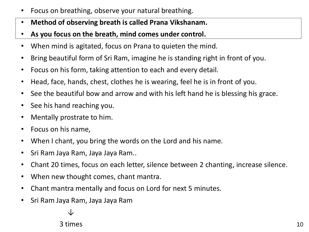- Focus on breathing, observe your natural breathing.
- **Method of observing breath is called Prana Vikshanam.**
- **As you focus on the breath, mind comes under control.**
- When mind is agitated, focus on Prana to quieten the mind.
- Bring beautiful form of Sri Ram, imagine he is standing right in front of you.
- Focus on his form, taking attention to each and every detail.
- Head, face, hands, chest, clothes he is wearing, feel he is in front of you.
- See the beautiful bow and arrow and with his left hand he is blessing his grace.
- See his hand reaching you.
- Mentally prostrate to him.
- Focus on his name,
- When I chant, you bring the words on the Lord and his name.
- Sri Ram Jaya Ram, Jaya Jaya Ram..
- Chant 20 times, focus on each letter, silence between 2 chanting, increase silence.
- When new thought comes, chant mantra.
- Chant mantra mentally and focus on Lord for next 5 minutes.
- Sri Ram Jaya Ram, Jaya Jaya Ram

↓

3 times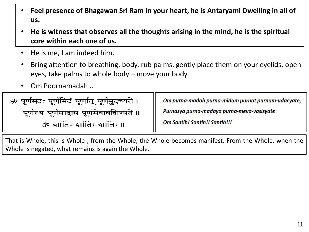- **Feel presence of Bhagawan Sri Ram in your heart, he is Antaryami Dwelling in all of us.**
- **He is witness that observes all the thoughts arising in the mind, he is the spiritual core within each one of us.**
- He is me, I am indeed him.
- Bring attention to breathing, body, rub palms, gently place them on your eyelids, open eyes, take palms to whole body – move your body.
- Om Poornamadah…

| ॐ पूर्णमदः पूर्णमिदं पूर्णात् पूर्णमुदच्यते । | Om purna-madah purna-midam purnat purnam-udacyate, |
|-----------------------------------------------|----------------------------------------------------|
| पूर्णस्य पूर्णमादाय पूर्णमेवावशिष्यते ॥       | Purnasya purna-madaya purna-meva-vasisyate         |
| ॐ झांतिः झांतिः झांतिः ॥                      | <b>Om Santih! Santih!! Santih!!!</b>               |

That is Whole, this is Whole ; from the Whole, the Whole becomes manifest. From the Whole, when the Whole is negated, what remains is again the Whole.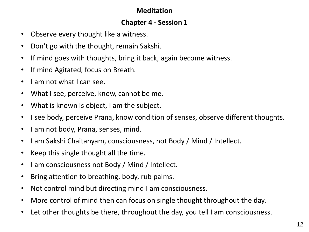#### **Meditation**

#### **Chapter 4 - Session 1**

- Observe every thought like a witness.
- Don't go with the thought, remain Sakshi.
- If mind goes with thoughts, bring it back, again become witness.
- If mind Agitated, focus on Breath.
- I am not what I can see.
- What I see, perceive, know, cannot be me.
- What is known is object, I am the subject.
- I see body, perceive Prana, know condition of senses, observe different thoughts.
- I am not body, Prana, senses, mind.
- I am Sakshi Chaitanyam, consciousness, not Body / Mind / Intellect.
- Keep this single thought all the time.
- I am consciousness not Body / Mind / Intellect.
- Bring attention to breathing, body, rub palms.
- Not control mind but directing mind I am consciousness.
- More control of mind then can focus on single thought throughout the day.
- Let other thoughts be there, throughout the day, you tell I am consciousness.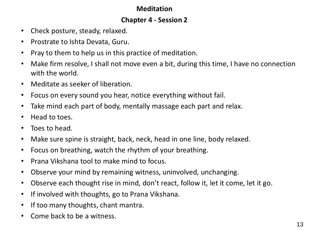#### **Meditation**

#### **Chapter 4 - Session 2**

- Check posture, steady, relaxed.
- Prostrate to Ishta Devata, Guru.
- Pray to them to help us in this practice of meditation.
- Make firm resolve, I shall not move even a bit, during this time, I have no connection with the world.
- Meditate as seeker of liberation.
- Focus on every sound you hear, notice everything without fail.
- Take mind each part of body, mentally massage each part and relax.
- Head to toes.
- Toes to head.
- Make sure spine is straight, back, neck, head in one line, body relaxed.
- Focus on breathing, watch the rhythm of your breathing.
- Prana Vikshana tool to make mind to focus.
- Observe your mind by remaining witness, uninvolved, unchanging.
- Observe each thought rise in mind, don't react, follow it, let it come, let it go.
- If involved with thoughts, go to Prana Vikshana.
- If too many thoughts, chant mantra.
- Come back to be a witness.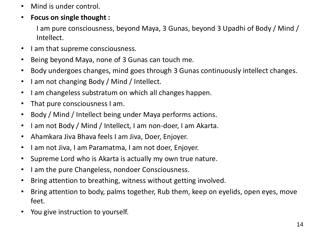- Mind is under control.
- **Focus on single thought :**

I am pure consciousness, beyond Maya, 3 Gunas, beyond 3 Upadhi of Body / Mind / Intellect.

- I am that supreme consciousness.
- Being beyond Maya, none of 3 Gunas can touch me.
- Body undergoes changes, mind goes through 3 Gunas continuously intellect changes.
- I am not changing Body / Mind / Intellect.
- I am changeless substratum on which all changes happen.
- That pure consciousness I am.
- Body / Mind / Intellect being under Maya performs actions.
- I am not Body / Mind / Intellect, I am non-doer, I am Akarta.
- Ahamkara Jiva Bhava feels I am Jiva, Doer, Enjoyer.
- I am not Jiva, I am Paramatma, I am not doer, Enjoyer.
- Supreme Lord who is Akarta is actually my own true nature.
- I am the pure Changeless, nondoer Consciousness.
- Bring attention to breathing, witness without getting involved.
- Bring attention to body, palms together, Rub them, keep on eyelids, open eyes, move feet.
- You give instruction to yourself.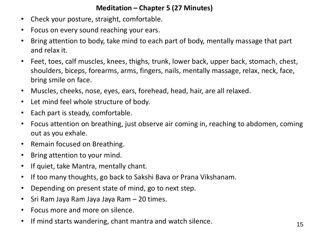#### **Meditation – Chapter 5 (27 Minutes)**

- Check your posture, straight, comfortable.
- Focus on every sound reaching your ears.
- Bring attention to body, take mind to each part of body, mentally massage that part and relax it.
- Feet, toes, calf muscles, knees, thighs, trunk, lower back, upper back, stomach, chest, shoulders, biceps, forearms, arms, fingers, nails, mentally massage, relax, neck, face, bring smile on face.
- Muscles, cheeks, nose, eyes, ears, forehead, head, hair, are all relaxed.
- Let mind feel whole structure of body.
- Each part is steady, comfortable.
- Focus attention on breathing, just observe air coming in, reaching to abdomen, coming out as you exhale.
- Remain focused on Breathing.
- Bring attention to your mind.
- If quiet, take Mantra, mentally chant.
- If too many thoughts, go back to Sakshi Bava or Prana Vikshanam.
- Depending on present state of mind, go to next step.
- Sri Ram Jaya Ram Jaya Jaya Ram 20 times.
- Focus more and more on silence.
- If mind starts wandering, chant mantra and watch silence.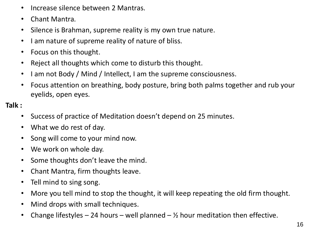- Increase silence between 2 Mantras.
- Chant Mantra.
- Silence is Brahman, supreme reality is my own true nature.
- I am nature of supreme reality of nature of bliss.
- Focus on this thought.
- Reject all thoughts which come to disturb this thought.
- I am not Body / Mind / Intellect, I am the supreme consciousness.
- Focus attention on breathing, body posture, bring both palms together and rub your eyelids, open eyes.

**Talk :**

- Success of practice of Meditation doesn't depend on 25 minutes.
- What we do rest of day.
- Song will come to your mind now.
- We work on whole day.
- Some thoughts don't leave the mind.
- Chant Mantra, firm thoughts leave.
- Tell mind to sing song.
- More you tell mind to stop the thought, it will keep repeating the old firm thought.
- Mind drops with small techniques.
- Change lifestyles 24 hours well planned  $\frac{1}{2}$  hour meditation then effective.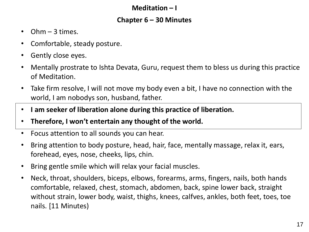#### **Meditation – I**

#### **Chapter 6 – 30 Minutes**

- $Ohm 3$  times.
- Comfortable, steady posture.
- Gently close eyes.
- Mentally prostrate to Ishta Devata, Guru, request them to bless us during this practice of Meditation.
- Take firm resolve, I will not move my body even a bit, I have no connection with the world, I am nobodys son, husband, father.
- **I am seeker of liberation alone during this practice of liberation.**
- **Therefore, I won't entertain any thought of the world.**
- Focus attention to all sounds you can hear.
- Bring attention to body posture, head, hair, face, mentally massage, relax it, ears, forehead, eyes, nose, cheeks, lips, chin.
- Bring gentle smile which will relax your facial muscles.
- Neck, throat, shoulders, biceps, elbows, forearms, arms, fingers, nails, both hands comfortable, relaxed, chest, stomach, abdomen, back, spine lower back, straight without strain, lower body, waist, thighs, knees, calfves, ankles, both feet, toes, toe nails. [11 Minutes)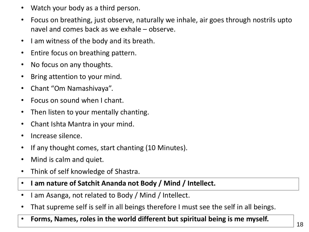- Watch your body as a third person.
- Focus on breathing, just observe, naturally we inhale, air goes through nostrils upto navel and comes back as we exhale – observe.
- I am witness of the body and its breath.
- Entire focus on breathing pattern.
- No focus on any thoughts.
- Bring attention to your mind.
- Chant "Om Namashivaya".
- Focus on sound when I chant.
- Then listen to your mentally chanting.
- Chant Ishta Mantra in your mind.
- Increase silence.
- If any thought comes, start chanting (10 Minutes).
- Mind is calm and quiet.
- Think of self knowledge of Shastra.
- **I am nature of Satchit Ananda not Body / Mind / Intellect.**
- I am Asanga, not related to Body / Mind / Intellect.
- That supreme self is self in all beings therefore I must see the self in all beings.
- **Forms, Names, roles in the world different but spiritual being is me myself.**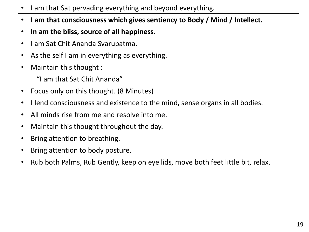- I am that Sat pervading everything and beyond everything.
- **I am that consciousness which gives sentiency to Body / Mind / Intellect.**
- **In am the bliss, source of all happiness.**
- I am Sat Chit Ananda Svarupatma.
- As the self I am in everything as everything.
- Maintain this thought :
	- "I am that Sat Chit Ananda"
- Focus only on this thought. (8 Minutes)
- I lend consciousness and existence to the mind, sense organs in all bodies.
- All minds rise from me and resolve into me.
- Maintain this thought throughout the day.
- Bring attention to breathing.
- Bring attention to body posture.
- Rub both Palms, Rub Gently, keep on eye lids, move both feet little bit, relax.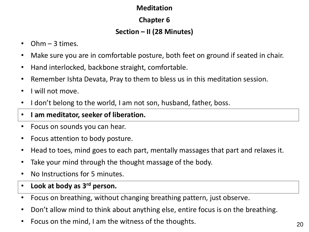#### **Meditation**

# **Chapter 6**

# **Section – II (28 Minutes)**

- Ohm 3 times.
- Make sure you are in comfortable posture, both feet on ground if seated in chair.
- Hand interlocked, backbone straight, comfortable.
- Remember Ishta Devata, Pray to them to bless us in this meditation session.
- I will not move.
- I don't belong to the world, I am not son, husband, father, boss.

# • **I am meditator, seeker of liberation.**

- Focus on sounds you can hear.
- Focus attention to body posture.
- Head to toes, mind goes to each part, mentally massages that part and relaxes it.
- Take your mind through the thought massage of the body.
- No Instructions for 5 minutes.
- **Look at body as 3rd person.**
- Focus on breathing, without changing breathing pattern, just observe.
- Don't allow mind to think about anything else, entire focus is on the breathing.
- Focus on the mind, I am the witness of the thoughts.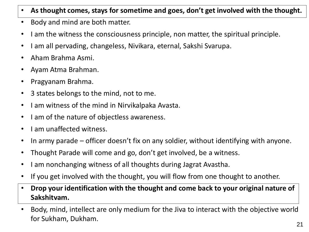- **As thought comes, stays for sometime and goes, don't get involved with the thought.**
- Body and mind are both matter.
- I am the witness the consciousness principle, non matter, the spiritual principle.
- I am all pervading, changeless, Nivikara, eternal, Sakshi Svarupa.
- Aham Brahma Asmi.
- Ayam Atma Brahman.
- Pragyanam Brahma.
- 3 states belongs to the mind, not to me.
- I am witness of the mind in Nirvikalpaka Avasta.
- I am of the nature of objectless awareness.
- I am unaffected witness.
- In army parade officer doesn't fix on any soldier, without identifying with anyone.
- Thought Parade will come and go, don't get involved, be a witness.
- I am nonchanging witness of all thoughts during Jagrat Avastha.
- If you get involved with the thought, you will flow from one thought to another.
- **Drop your identification with the thought and come back to your original nature of Sakshitvam.**
- Body, mind, intellect are only medium for the Jiva to interact with the objective world for Sukham, Dukham.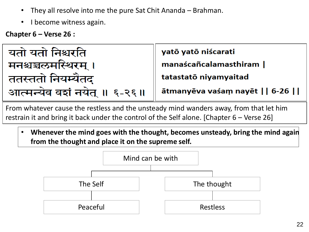- They all resolve into me the pure Sat Chit Ananda Brahman.
- I become witness again.

**Chapter 6 – Verse 26 :**



From whatever cause the restless and the unsteady mind wanders away, from that let him restrain it and bring it back under the control of the Self alone. [Chapter 6 – Verse 26]

• **Whenever the mind goes with the thought, becomes unsteady, bring the mind again from the thought and place it on the supreme self.**

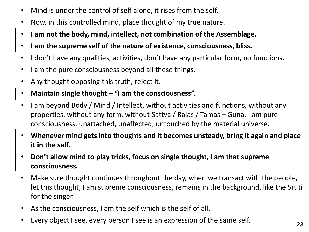- Mind is under the control of self alone, it rises from the self.
- Now, in this controlled mind, place thought of my true nature.
- **I am not the body, mind, intellect, not combination of the Assemblage.**
- **I am the supreme self of the nature of existence, consciousness, bliss.**
- I don't have any qualities, activities, don't have any particular form, no functions.
- I am the pure consciousness beyond all these things.
- Any thought opposing this truth, reject it.
- **Maintain single thought – "I am the consciousness".**
- I am beyond Body / Mind / Intellect, without activities and functions, without any properties, without any form, without Sattva / Rajas / Tamas – Guna, I am pure consciousness, unattached, unaffected, untouched by the material universe.
- **Whenever mind gets into thoughts and it becomes unsteady, bring it again and place it in the self.**
- **Don't allow mind to play tricks, focus on single thought, I am that supreme consciousness.**
- Make sure thought continues throughout the day, when we transact with the people, let this thought, I am supreme consciousness, remains in the background, like the Sruti for the singer.
- As the consciousness, I am the self which is the self of all.
- Every object I see, every person I see is an expression of the same self.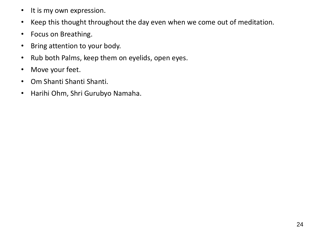- It is my own expression.
- Keep this thought throughout the day even when we come out of meditation.
- Focus on Breathing.
- Bring attention to your body.
- Rub both Palms, keep them on eyelids, open eyes.
- Move your feet.
- Om Shanti Shanti Shanti.
- Harihi Ohm, Shri Gurubyo Namaha.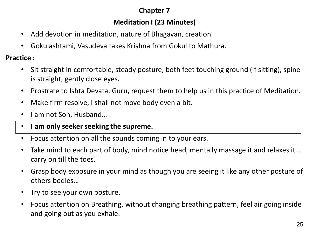#### **Chapter 7**

# **Meditation I (23 Minutes)**

- Add devotion in meditation, nature of Bhagavan, creation.
- Gokulashtami, Vasudeva takes Krishna from Gokul to Mathura.

**Practice :**

- Sit straight in comfortable, steady posture, both feet touching ground (if sitting), spine is straight, gently close eyes.
- Prostrate to Ishta Devata, Guru, request them to help us in this practice of Meditation.
- Make firm resolve, I shall not move body even a bit.
- I am not Son, Husband...
- **I am only seeker seeking the supreme.**
- Focus attention on all the sounds coming in to your ears.
- Take mind to each part of body, mind notice head, mentally massage it and relaxes it... carry on till the toes.
- Grasp body exposure in your mind as though you are seeing it like any other posture of others bodies…
- Try to see your own posture.
- Focus attention on Breathing, without changing breathing pattern, feel air going inside and going out as you exhale.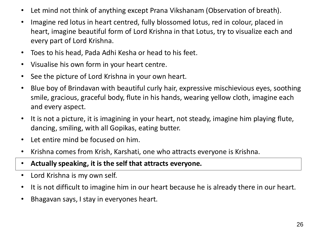- Let mind not think of anything except Prana Vikshanam (Observation of breath).
- Imagine red lotus in heart centred, fully blossomed lotus, red in colour, placed in heart, imagine beautiful form of Lord Krishna in that Lotus, try to visualize each and every part of Lord Krishna.
- Toes to his head, Pada Adhi Kesha or head to his feet.
- Visualise his own form in your heart centre.
- See the picture of Lord Krishna in your own heart.
- Blue boy of Brindavan with beautiful curly hair, expressive mischievious eyes, soothing smile, gracious, graceful body, flute in his hands, wearing yellow cloth, imagine each and every aspect.
- It is not a picture, it is imagining in your heart, not steady, imagine him playing flute, dancing, smiling, with all Gopikas, eating butter.
- Let entire mind be focused on him.
- Krishna comes from Krish, Karshati, one who attracts everyone is Krishna.
- **Actually speaking, it is the self that attracts everyone.**
- Lord Krishna is my own self.
- It is not difficult to imagine him in our heart because he is already there in our heart.
- Bhagavan says, I stay in everyones heart.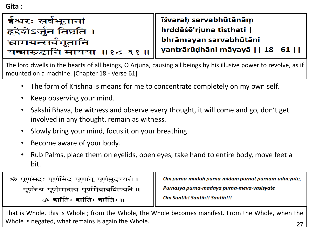**Gita :**

| ईश्वरः सर्वभूतानां          |  |
|-----------------------------|--|
| हृद्देशेऽर्जुन तिष्ठति ।    |  |
| भ्रामयन्सर्वभूतानि          |  |
| यन्त्रारूढानि मायया ॥१८-६१॥ |  |

īśvarah sarvabhūtānām hrddēśē'rjuna tisthati | bhrāmayan sarvabhūtāni yantrārūḍhāni māyayā | | 18 - 61 | |

The lord dwells in the hearts of all beings, O Arjuna, causing all beings by his illusive power to revolve, as if mounted on a machine. [Chapter 18 - Verse 61]

- The form of Krishna is means for me to concentrate completely on my own self.
- Keep observing your mind.
- Sakshi Bhava, be witness and observe every thought, it will come and go, don't get involved in any thought, remain as witness.
- Slowly bring your mind, focus it on your breathing.
- Become aware of your body.
- Rub Palms, place them on eyelids, open eyes, take hand to entire body, move feet a bit.

| ॐ पूर्णमदः पूर्णमिदं पूर्णात् पूर्णमुदच्यते । | Om purna-madah purna-midam purnat purnam-udacyate, |
|-----------------------------------------------|----------------------------------------------------|
| पूर्णस्य पूर्णमादाय पूर्णमेवावशिष्यते ॥       | Purnasya purna-madaya purna-meva-vasisyate         |
| ॐ झांतिः झांतिः झांतिः ॥                      | <b>Om Santih! Santih!! Santih!!!</b>               |

27 That is Whole, this is Whole ; from the Whole, the Whole becomes manifest. From the Whole, when the Whole is negated, what remains is again the Whole.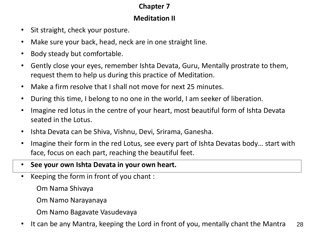#### **Chapter 7**

#### **Meditation II**

- Sit straight, check your posture.
- Make sure your back, head, neck are in one straight line.
- Body steady but comfortable.
- Gently close your eyes, remember Ishta Devata, Guru, Mentally prostrate to them, request them to help us during this practice of Meditation.
- Make a firm resolve that I shall not move for next 25 minutes.
- During this time, I belong to no one in the world, I am seeker of liberation.
- Imagine red lotus in the centre of your heart, most beautiful form of Ishta Devata seated in the Lotus.
- Ishta Devata can be Shiva, Vishnu, Devi, Srirama, Ganesha.
- Imagine their form in the red Lotus, see every part of Ishta Devatas body… start with face, focus on each part, reaching the beautiful feet.
- **See your own Ishta Devata in your own heart.**
- Keeping the form in front of you chant :
	- Om Nama Shivaya
	- Om Namo Narayanaya
	- Om Namo Bagavate Vasudevaya
- 28 • It can be any Mantra, keeping the Lord in front of you, mentally chant the Mantra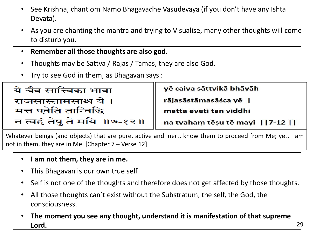- See Krishna, chant om Namo Bhagavadhe Vasudevaya (if you don't have any Ishta Devata).
- As you are chanting the mantra and trying to Visualise, many other thoughts will come to disturb you.
- **Remember all those thoughts are also god.**
- Thoughts may be Sattva / Rajas / Tamas, they are also God.
- Try to see God in them, as Bhagavan says :

| ये चैव सात्त्विका भावा     | yē caiva sāttvikā bhāvāh        |
|----------------------------|---------------------------------|
| राजसास्तामसाश्च ये ।       | rājasāstāmasāśca yē             |
| मत्त एवेति तान्विद्धि      | matta ēvēti tān viddhi          |
| न त्वहं तेषु ते मयि ॥७-१२॥ | na tvaham tēșu tē mayi     7-12 |

Whatever beings (and objects) that are pure, active and inert, know them to proceed from Me; yet, I am not in them, they are in Me. [Chapter 7 – Verse 12]

- **I am not them, they are in me.**
- This Bhagavan is our own true self.
- Self is not one of the thoughts and therefore does not get affected by those thoughts.
- All those thoughts can't exist without the Substratum, the self, the God, the consciousness.
- **The moment you see any thought, understand it is manifestation of that supreme Lord.**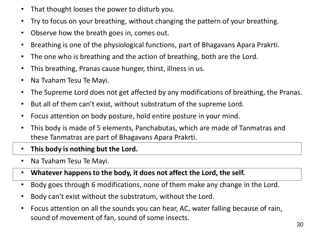- That thought looses the power to disturb you.
- Try to focus on your breathing, without changing the pattern of your breathing.
- Observe how the breath goes in, comes out.
- Breathing is one of the physiological functions, part of Bhagavans Apara Prakrti.
- The one who is breathing and the action of breathing, both are the Lord.
- This breathing, Pranas cause hunger, thirst, illness in us.
- Na Tvaham Tesu Te Mayi.
- The Supreme Lord does not get affected by any modifications of breathing, the Pranas.
- But all of them can't exist, without substratum of the supreme Lord.
- Focus attention on body posture, hold entire posture in your mind.
- This body is made of 5 elements, Panchabutas, which are made of Tanmatras and these Tanmatras are part of Bhagavans Apara Prakrti.
- **This body is nothing but the Lord.**
- Na Tvaham Tesu Te Mayi.
- **Whatever happens to the body, it does not affect the Lord, the self.**
- Body goes through 6 modifications, none of them make any change in the Lord.
- Body can't exist without the substratum, without the Lord.
- Focus attention on all the sounds you can hear, AC, water falling because of rain, sound of movement of fan, sound of some insects.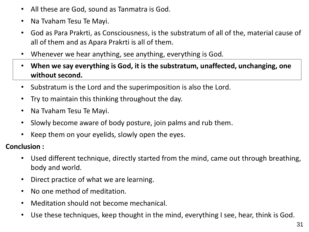- All these are God, sound as Tanmatra is God.
- Na Tvaham Tesu Te Mayi.
- God as Para Prakrti, as Consciousness, is the substratum of all of the, material cause of all of them and as Apara Prakrti is all of them.
- Whenever we hear anything, see anything, everything is God.
- **When we say everything is God, it is the substratum, unaffected, unchanging, one without second.**
- Substratum is the Lord and the superimposition is also the Lord.
- Try to maintain this thinking throughout the day.
- Na Tvaham Tesu Te Mayi.
- Slowly become aware of body posture, join palms and rub them.
- Keep them on your eyelids, slowly open the eyes.

**Conclusion :**

- Used different technique, directly started from the mind, came out through breathing, body and world.
- Direct practice of what we are learning.
- No one method of meditation.
- Meditation should not become mechanical.
- Use these techniques, keep thought in the mind, everything I see, hear, think is God.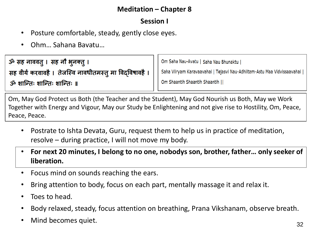#### **Meditation – Chapter 8**

#### **Session I**

- Posture comfortable, steady, gently close eyes.
- Ohm… Sahana Bavatu…

ॐ सह नाववत् । सह नौ भूनक्त् । सह वीर्यं करवावहै । तेजस्वि नावधीतमस्त् मा विद्विषावहै ।

ॐ शान्तिः शान्तिः शान्तिः ॥

Om Saha Nau-Avatu | Saha Nau Bhunaktu |

Saha Viiryam Karavaavahai | Tejasvi Nau-Adhiitam-Astu Maa Vidvissaavahai |

Om Shaantih Shaantih Shaantih ||

Om, May God Protect us Both (the Teacher and the Student), May God Nourish us Both, May we Work Together with Energy and Vigour, May our Study be Enlightening and not give rise to Hostility, Om, Peace, Peace, Peace.

- Postrate to Ishta Devata, Guru, request them to help us in practice of meditation, resolve – during practice, I will not move my body.
- **For next 20 minutes, I belong to no one, nobodys son, brother, father… only seeker of liberation.**
- Focus mind on sounds reaching the ears.
- Bring attention to body, focus on each part, mentally massage it and relax it.
- Toes to head.
- Body relaxed, steady, focus attention on breathing, Prana Vikshanam, observe breath.
- Mind becomes quiet.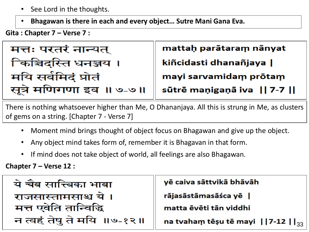- See Lord in the thoughts.
- **Bhagawan is there in each and every object… Sutre Mani Gana Eva.**

**Gita : Chapter 7 – Verse 7 :**

मत्तः परतरं नान्यत् किञ्चिदस्ति धनञ्जय । मयि सर्वमिदं प्रोतं सूत्रे मणिगणा इव ॥ ७-७॥

mattah parātaram nānyat kiñcidasti dhanañjaya | mayi sarvamidam prōtam sūtrē maņigaņā iva | 7-7 | |

There is nothing whatsoever higher than Me, O Dhananjaya. All this is strung in Me, as clusters of gems on a string. [Chapter 7 - Verse 7]

- Moment mind brings thought of object focus on Bhagawan and give up the object.
- Any object mind takes form of, remember it is Bhagavan in that form.
- If mind does not take object of world, all feelings are also Bhagawan.

**Chapter 7 – Verse 12 :**

| ये चैव सात्त्विका भावा     | yē caiva sāttvikā bhāvāh                             |
|----------------------------|------------------------------------------------------|
| राजसास्तामसाश्च ये।        | rājasāstāmasāśca yē                                  |
| मत्त एवेति तान्विद्धि      | matta ēvēti tān viddhi                               |
| न त्वहं तेषु ते मयि ॥७-१२॥ | na tvaham tēşu tē mayi     7-12   $\vert_{33} \vert$ |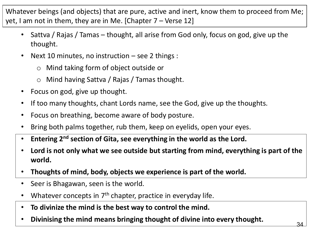Whatever beings (and objects) that are pure, active and inert, know them to proceed from Me; yet, I am not in them, they are in Me. [Chapter  $7 -$  Verse 12]

- Sattva / Rajas / Tamas thought, all arise from God only, focus on god, give up the thought.
- Next 10 minutes, no instruction  $-$  see 2 things :
	- o Mind taking form of object outside or
	- o Mind having Sattva / Rajas / Tamas thought.
- Focus on god, give up thought.
- If too many thoughts, chant Lords name, see the God, give up the thoughts.
- Focus on breathing, become aware of body posture.
- Bring both palms together, rub them, keep on eyelids, open your eyes.
- **Entering 2nd section of Gita, see everything in the world as the Lord.**
- **Lord is not only what we see outside but starting from mind, everything is part of the world.**
- **Thoughts of mind, body, objects we experience is part of the world.**
- Seer is Bhagawan, seen is the world.
- Whatever concepts in 7<sup>th</sup> chapter, practice in everyday life.
- **To divinize the mind is the best way to control the mind.**
- **Divinising the mind means bringing thought of divine into every thought.**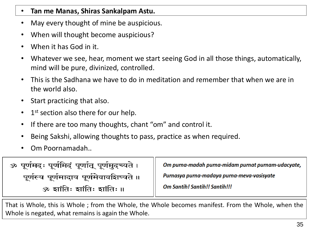#### • **Tan me Manas, Shiras Sankalpam Astu.**

- May every thought of mine be auspicious.
- When will thought become auspicious?
- When it has God in it.
- Whatever we see, hear, moment we start seeing God in all those things, automatically, mind will be pure, divinized, controlled.
- This is the Sadhana we have to do in meditation and remember that when we are in the world also.
- Start practicing that also.
- 1<sup>st</sup> section also there for our help.
- If there are too many thoughts, chant "om" and control it.
- Being Sakshi, allowing thoughts to pass, practice as when required.
- Om Poornamadah..

| ॐ पूर्णमदः पूर्णमिदं पूर्णात् पूर्णमुदच्यते । | Om purna-madah purna-midam purnat purnam-udacyate, |
|-----------------------------------------------|----------------------------------------------------|
| पूर्णस्य पूर्णमादाय पूर्णमेवावशिष्यते ॥       | Purnasya purna-madaya purna-meva-vasisyate         |
| ॐ झांतिः झांतिः झांतिः ॥                      | <b>Om Santih! Santih!! Santih!!!</b>               |

That is Whole, this is Whole ; from the Whole, the Whole becomes manifest. From the Whole, when the Whole is negated, what remains is again the Whole.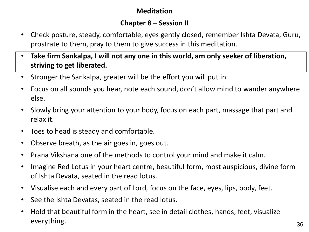#### **Meditation**

#### **Chapter 8 – Session II**

- Check posture, steady, comfortable, eyes gently closed, remember Ishta Devata, Guru, prostrate to them, pray to them to give success in this meditation.
- **Take firm Sankalpa, I will not any one in this world, am only seeker of liberation, striving to get liberated.**
- Stronger the Sankalpa, greater will be the effort you will put in.
- Focus on all sounds you hear, note each sound, don't allow mind to wander anywhere else.
- Slowly bring your attention to your body, focus on each part, massage that part and relax it.
- Toes to head is steady and comfortable.
- Observe breath, as the air goes in, goes out.
- Prana Vikshana one of the methods to control your mind and make it calm.
- Imagine Red Lotus in your heart centre, beautiful form, most auspicious, divine form of Ishta Devata, seated in the read lotus.
- Visualise each and every part of Lord, focus on the face, eyes, lips, body, feet.
- See the Ishta Devatas, seated in the read lotus.
- Hold that beautiful form in the heart, see in detail clothes, hands, feet, visualize everything.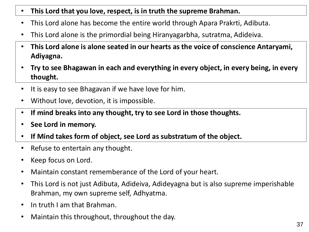- **This Lord that you love, respect, is in truth the supreme Brahman.**
- This Lord alone has become the entire world through Apara Prakrti, Adibuta.
- This Lord alone is the primordial being Hiranyagarbha, sutratma, Adideiva.
- **This Lord alone is alone seated in our hearts as the voice of conscience Antaryami, Adiyagna.**
- **Try to see Bhagawan in each and everything in every object, in every being, in every thought.**
- It is easy to see Bhagavan if we have love for him.
- Without love, devotion, it is impossible.
- **If mind breaks into any thought, try to see Lord in those thoughts.**
- **See Lord in memory.**
- **If Mind takes form of object, see Lord as substratum of the object.**
- Refuse to entertain any thought.
- Keep focus on Lord.
- Maintain constant rememberance of the Lord of your heart.
- This Lord is not just Adibuta, Adideiva, Adideyagna but is also supreme imperishable Brahman, my own supreme self, Adhyatma.
- In truth I am that Brahman.
- Maintain this throughout, throughout the day.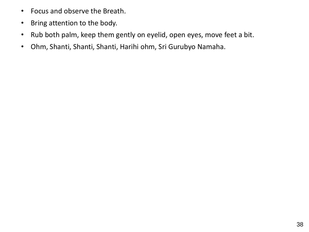- Focus and observe the Breath.
- Bring attention to the body.
- Rub both palm, keep them gently on eyelid, open eyes, move feet a bit.
- Ohm, Shanti, Shanti, Shanti, Harihi ohm, Sri Gurubyo Namaha.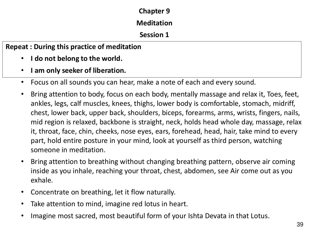#### **Chapter 9**

#### **Meditation**

#### **Session 1**

**Repeat : During this practice of meditation**

- **I do not belong to the world.**
- **I am only seeker of liberation.**
- Focus on all sounds you can hear, make a note of each and every sound.
- Bring attention to body, focus on each body, mentally massage and relax it, Toes, feet, ankles, legs, calf muscles, knees, thighs, lower body is comfortable, stomach, midriff, chest, lower back, upper back, shoulders, biceps, forearms, arms, wrists, fingers, nails, mid region is relaxed, backbone is straight, neck, holds head whole day, massage, relax it, throat, face, chin, cheeks, nose eyes, ears, forehead, head, hair, take mind to every part, hold entire posture in your mind, look at yourself as third person, watching someone in meditation.
- Bring attention to breathing without changing breathing pattern, observe air coming inside as you inhale, reaching your throat, chest, abdomen, see Air come out as you exhale.
- Concentrate on breathing, let it flow naturally.
- Take attention to mind, imagine red lotus in heart.
- Imagine most sacred, most beautiful form of your Ishta Devata in that Lotus.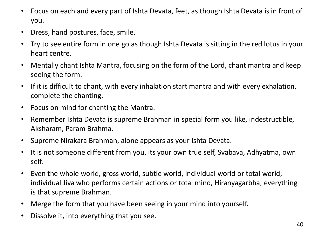- Focus on each and every part of Ishta Devata, feet, as though Ishta Devata is in front of you.
- Dress, hand postures, face, smile.
- Try to see entire form in one go as though Ishta Devata is sitting in the red lotus in your heart centre.
- Mentally chant Ishta Mantra, focusing on the form of the Lord, chant mantra and keep seeing the form.
- If it is difficult to chant, with every inhalation start mantra and with every exhalation, complete the chanting.
- Focus on mind for chanting the Mantra.
- Remember Ishta Devata is supreme Brahman in special form you like, indestructible, Aksharam, Param Brahma.
- Supreme Nirakara Brahman, alone appears as your Ishta Devata.
- It is not someone different from you, its your own true self, Svabava, Adhyatma, own self.
- Even the whole world, gross world, subtle world, individual world or total world, individual Jiva who performs certain actions or total mind, Hiranyagarbha, everything is that supreme Brahman.
- Merge the form that you have been seeing in your mind into yourself.
- Dissolve it, into everything that you see.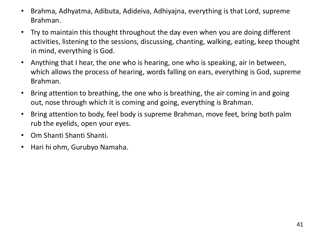- Brahma, Adhyatma, Adibuta, Adideiva, Adhiyajna, everything is that Lord, supreme Brahman.
- Try to maintain this thought throughout the day even when you are doing different activities, listening to the sessions, discussing, chanting, walking, eating, keep thought in mind, everything is God.
- Anything that I hear, the one who is hearing, one who is speaking, air in between, which allows the process of hearing, words falling on ears, everything is God, supreme Brahman.
- Bring attention to breathing, the one who is breathing, the air coming in and going out, nose through which it is coming and going, everything is Brahman.
- Bring attention to body, feel body is supreme Brahman, move feet, bring both palm rub the eyelids, open your eyes.
- Om Shanti Shanti Shanti.
- Hari hi ohm, Gurubyo Namaha.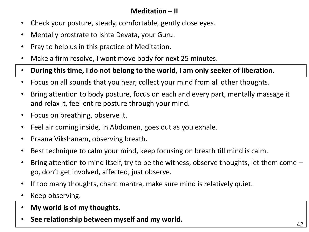# **Meditation – II**

- Check your posture, steady, comfortable, gently close eyes.
- Mentally prostrate to Ishta Devata, your Guru.
- Pray to help us in this practice of Meditation.
- Make a firm resolve, I wont move body for next 25 minutes.
- **During this time, I do not belong to the world, I am only seeker of liberation.**
- Focus on all sounds that you hear, collect your mind from all other thoughts.
- Bring attention to body posture, focus on each and every part, mentally massage it and relax it, feel entire posture through your mind.
- Focus on breathing, observe it.
- Feel air coming inside, in Abdomen, goes out as you exhale.
- Praana Vikshanam, observing breath.
- Best technique to calm your mind, keep focusing on breath till mind is calm.
- Bring attention to mind itself, try to be the witness, observe thoughts, let them come go, don't get involved, affected, just observe.
- If too many thoughts, chant mantra, make sure mind is relatively quiet.
- Keep observing.
- **My world is of my thoughts.**
- **See relationship between myself and my world.**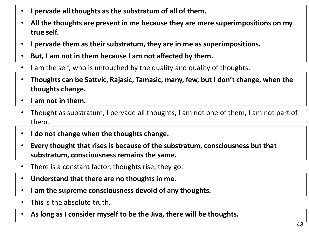- **I pervade all thoughts as the substratum of all of them.**
- **All the thoughts are present in me because they are mere superimpositions on my true self.**
- **I pervade them as their substratum, they are in me as superimpositions.**
- **But, I am not in them because I am not affected by them.**
- I am the self, who is untouched by the quality and quality of thoughts.
- **Thoughts can be Sattvic, Rajasic, Tamasic, many, few, but I don't change, when the thoughts change.**
- **I am not in them.**
- Thought as substratum, I pervade all thoughts, I am not one of them, I am not part of them.
- **I do not change when the thoughts change.**
- **Every thought that rises is because of the substratum, consciousness but that substratum, consciousness remains the same.**
- There is a constant factor, thoughts rise, they go.
- **Understand that there are no thoughts in me.**
- **I am the supreme consciousness devoid of any thoughts.**
- This is the absolute truth.
- **As long as I consider myself to be the Jiva, there will be thoughts.**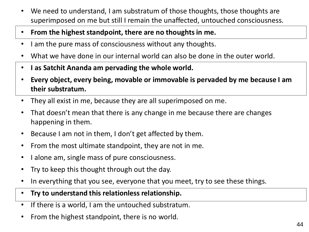- We need to understand, I am substratum of those thoughts, those thoughts are superimposed on me but still I remain the unaffected, untouched consciousness.
- **From the highest standpoint, there are no thoughts in me.**
- I am the pure mass of consciousness without any thoughts.
- What we have done in our internal world can also be done in the outer world.
- **I as Satchit Ananda am pervading the whole world.**
- **Every object, every being, movable or immovable is pervaded by me because I am their substratum.**
- They all exist in me, because they are all superimposed on me.
- That doesn't mean that there is any change in me because there are changes happening in them.
- Because I am not in them, I don't get affected by them.
- From the most ultimate standpoint, they are not in me.
- I alone am, single mass of pure consciousness.
- Try to keep this thought through out the day.
- In everything that you see, everyone that you meet, try to see these things.
- **Try to understand this relationless relationship.**
- If there is a world, I am the untouched substratum.
- From the highest standpoint, there is no world.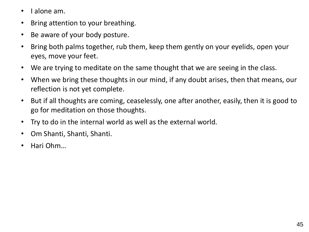- I alone am.
- Bring attention to your breathing.
- Be aware of your body posture.
- Bring both palms together, rub them, keep them gently on your eyelids, open your eyes, move your feet.
- We are trying to meditate on the same thought that we are seeing in the class.
- When we bring these thoughts in our mind, if any doubt arises, then that means, our reflection is not yet complete.
- But if all thoughts are coming, ceaselessly, one after another, easily, then it is good to go for meditation on those thoughts.
- Try to do in the internal world as well as the external world.
- Om Shanti, Shanti, Shanti.
- Hari Ohm…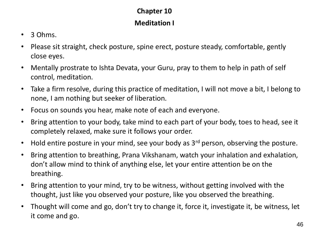# **Chapter 10**

#### **Meditation I**

- 3 Ohms.
- Please sit straight, check posture, spine erect, posture steady, comfortable, gently close eyes.
- Mentally prostrate to Ishta Devata, your Guru, pray to them to help in path of self control, meditation.
- Take a firm resolve, during this practice of meditation, I will not move a bit, I belong to none, I am nothing but seeker of liberation.
- Focus on sounds you hear, make note of each and everyone.
- Bring attention to your body, take mind to each part of your body, toes to head, see it completely relaxed, make sure it follows your order.
- Hold entire posture in your mind, see your body as  $3<sup>rd</sup>$  person, observing the posture.
- Bring attention to breathing, Prana Vikshanam, watch your inhalation and exhalation, don't allow mind to think of anything else, let your entire attention be on the breathing.
- Bring attention to your mind, try to be witness, without getting involved with the thought, just like you observed your posture, like you observed the breathing.
- Thought will come and go, don't try to change it, force it, investigate it, be witness, let it come and go.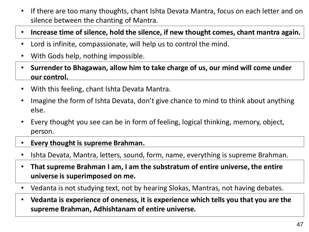- If there are too many thoughts, chant Ishta Devata Mantra, focus on each letter and on silence between the chanting of Mantra.
- **Increase time of silence, hold the silence, if new thought comes, chant mantra again.**
- Lord is infinite, compassionate, will help us to control the mind.
- With Gods help, nothing impossible.
- **Surrender to Bhagawan, allow him to take charge of us, our mind will come under our control.**
- With this feeling, chant Ishta Devata Mantra.
- Imagine the form of Ishta Devata, don't give chance to mind to think about anything else.
- Every thought you see can be in form of feeling, logical thinking, memory, object, person.
- **Every thought is supreme Brahman.**
- Ishta Devata, Mantra, letters, sound, form, name, everything is supreme Brahman.
- **That supreme Brahman I am, I am the substratum of entire universe, the entire universe is superimposed on me.**
- Vedanta is not studying text, not by hearing Slokas, Mantras, not having debates.
- **Vedanta is experience of oneness, it is experience which tells you that you are the supreme Brahman, Adhishtanam of entire universe.**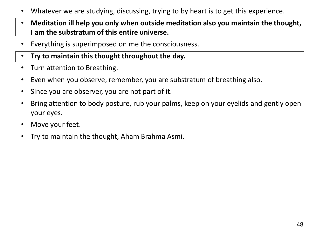- Whatever we are studying, discussing, trying to by heart is to get this experience.
- **Meditation ill help you only when outside meditation also you maintain the thought, I am the substratum of this entire universe.**
- Everything is superimposed on me the consciousness.
- **Try to maintain this thought throughout the day.**
- Turn attention to Breathing.
- Even when you observe, remember, you are substratum of breathing also.
- Since you are observer, you are not part of it.
- Bring attention to body posture, rub your palms, keep on your eyelids and gently open your eyes.
- Move your feet.
- Try to maintain the thought, Aham Brahma Asmi.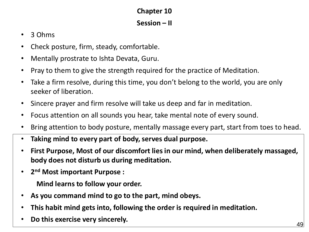# **Chapter 10**

#### **Session – II**

- 3 Ohms
- Check posture, firm, steady, comfortable.
- Mentally prostrate to Ishta Devata, Guru.
- Pray to them to give the strength required for the practice of Meditation.
- Take a firm resolve, during this time, you don't belong to the world, you are only seeker of liberation.
- Sincere prayer and firm resolve will take us deep and far in meditation.
- Focus attention on all sounds you hear, take mental note of every sound.
- Bring attention to body posture, mentally massage every part, start from toes to head.
- **Taking mind to every part of body, serves dual purpose.**
- **First Purpose, Most of our discomfort lies in our mind, when deliberately massaged, body does not disturb us during meditation.**
- **2 nd Most important Purpose :**

**Mind learns to follow your order.**

- **As you command mind to go to the part, mind obeys.**
- **This habit mind gets into, following the order is required in meditation.**
- **Do this exercise very sincerely.**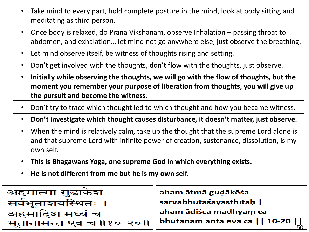- Take mind to every part, hold complete posture in the mind, look at body sitting and meditating as third person.
- Once body is relaxed, do Prana Vikshanam, observe Inhalation passing throat to abdomen, and exhalation… let mind not go anywhere else, just observe the breathing.
- Let mind observe itself, be witness of thoughts rising and setting.
- Don't get involved with the thoughts, don't flow with the thoughts, just observe.
- **Initially while observing the thoughts, we will go with the flow of thoughts, but the moment you remember your purpose of liberation from thoughts, you will give up the pursuit and become the witness.**
- Don't try to trace which thought led to which thought and how you became witness.
- **Don't investigate which thought causes disturbance, it doesn't matter, just observe.**
- When the mind is relatively calm, take up the thought that the supreme Lord alone is and that supreme Lord with infinite power of creation, sustenance, dissolution, is my own self.
- **This is Bhagawans Yoga, one supreme God in which everything exists.**
- **He is not different from me but he is my own self.**

| अहमात्मा गुडाकश        | aham ātmā guḍākēśa                    |
|------------------------|---------------------------------------|
| सर्वभूताशयस्थितः ।     | $\vert$ sarvabhūtāśayasthitaḥ $\vert$ |
| अहमादिश्च मध्यं च      | $\mid$ aham ādiśca madhyaṃ ca         |
| भूतानामन्त एव च॥१०-२०॥ | $\vert$ bhūtānām anta ēva ca    10-20 |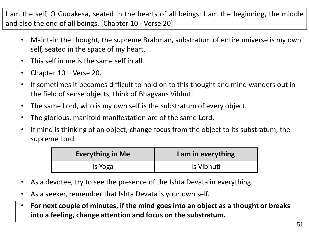I am the self, O Gudakesa, seated in the hearts of all beings; I am the beginning, the middle and also the end of all beings. [Chapter 10 - Verse 20]

- Maintain the thought, the supreme Brahman, substratum of entire universe is my own self, seated in the space of my heart.
- This self in me is the same self in all.
- Chapter 10 Verse 20.
- If sometimes it becomes difficult to hold on to this thought and mind wanders out in the field of sense objects, think of Bhagvans Vibhuti.
- The same Lord, who is my own self is the substratum of every object.
- The glorious, manifold manifestation are of the same Lord.
- If mind is thinking of an object, change focus from the object to its substratum, the supreme Lord.

| <b>Everything in Me</b> | I am in everything |
|-------------------------|--------------------|
| Is Yoga                 | Is Vibhuti         |

- As a devotee, try to see the presence of the Ishta Devata in everything.
- As a seeker, remember that Ishta Devata is your own self.
- **For next couple of minutes, if the mind goes into an object as a thought or breaks into a feeling, change attention and focus on the substratum.**